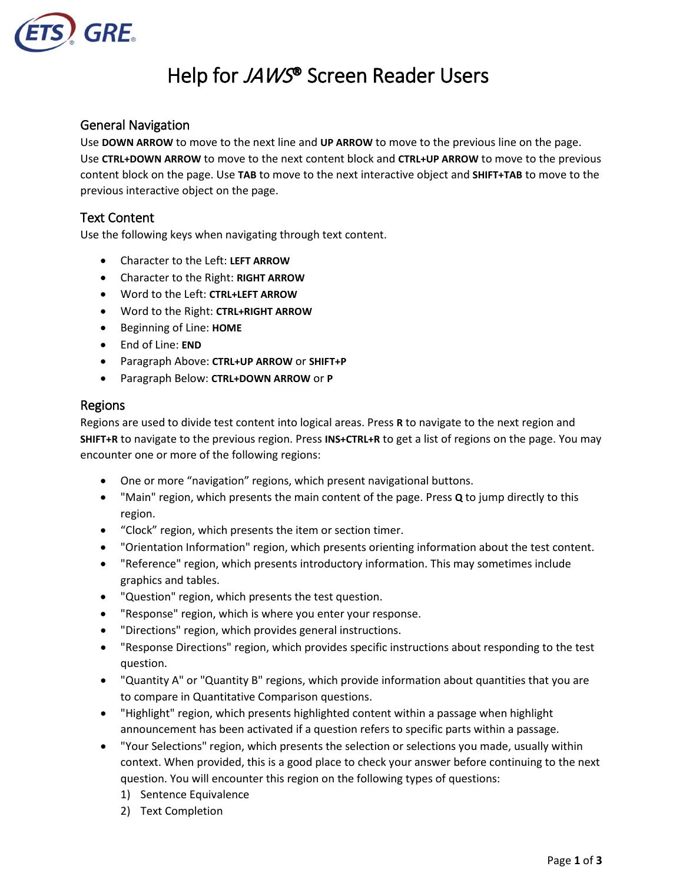

# Help for JAWS® Screen Reader Users

### General Navigation

Use **DOWN ARROW** to move to the next line and **UP ARROW** to move to the previous line on the page. Use **CTRL+DOWN ARROW** to move to the next content block and **CTRL+UP ARROW** to move to the previous content block on the page. Use **TAB** to move to the next interactive object and **SHIFT+TAB** to move to the previous interactive object on the page.

#### Text Content

Use the following keys when navigating through text content.

- Character to the Left: **LEFT ARROW**
- Character to the Right: **RIGHT ARROW**
- Word to the Left: **CTRL+LEFT ARROW**
- Word to the Right: **CTRL+RIGHT ARROW**
- Beginning of Line: **HOME**
- End of Line: **END**
- Paragraph Above: **CTRL+UP ARROW** or **SHIFT+P**
- Paragraph Below: **CTRL+DOWN ARROW** or **P**

#### Regions

Regions are used to divide test content into logical areas. Press **R** to navigate to the next region and **SHIFT+R** to navigate to the previous region. Press **INS+CTRL+R** to get a list of regions on the page. You may encounter one or more of the following regions:

- One or more "navigation" regions, which present navigational buttons.
- "Main" region, which presents the main content of the page. Press **Q** to jump directly to this region.
- "Clock" region, which presents the item or section timer.
- "Orientation Information" region, which presents orienting information about the test content.
- "Reference" region, which presents introductory information. This may sometimes include graphics and tables.
- "Question" region, which presents the test question.
- "Response" region, which is where you enter your response.
- "Directions" region, which provides general instructions.
- "Response Directions" region, which provides specific instructions about responding to the test question.
- "Quantity A" or "Quantity B" regions, which provide information about quantities that you are to compare in Quantitative Comparison questions.
- "Highlight" region, which presents highlighted content within a passage when highlight announcement has been activated if a question refers to specific parts within a passage.
- "Your Selections" region, which presents the selection or selections you made, usually within context. When provided, this is a good place to check your answer before continuing to the next question. You will encounter this region on the following types of questions:
	- 1) Sentence Equivalence
	- 2) Text Completion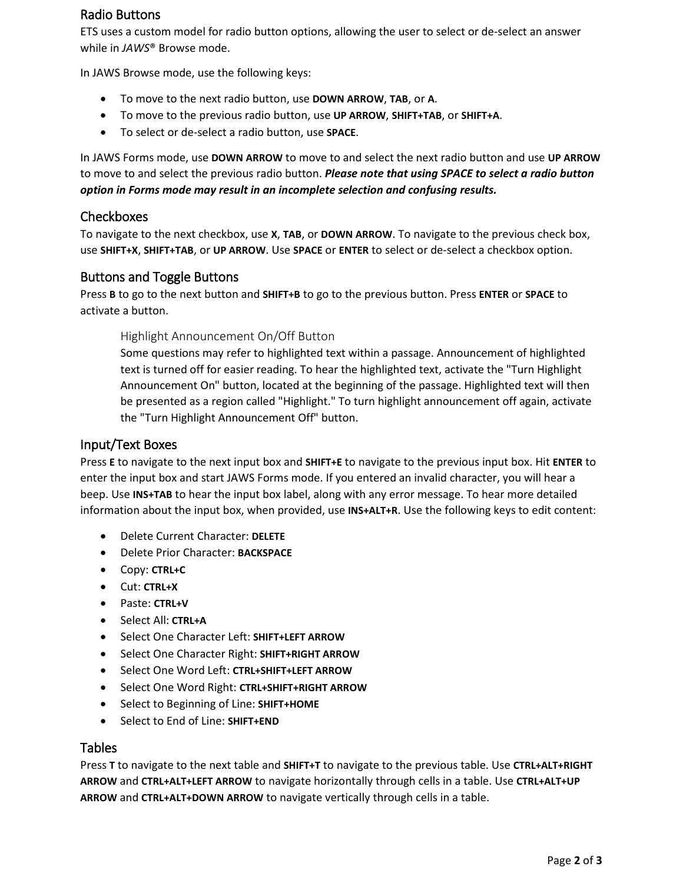## Radio Buttons

ETS uses a custom model for radio button options, allowing the user to select or de-select an answer while in *JAWS*® Browse mode.

In JAWS Browse mode, use the following keys:

- To move to the next radio button, use **DOWN ARROW**, **TAB**, or **A**.
- To move to the previous radio button, use **UP ARROW**, **SHIFT+TAB**, or **SHIFT+A**.
- To select or de-select a radio button, use **SPACE**.

In JAWS Forms mode, use **DOWN ARROW** to move to and select the next radio button and use **UP ARROW** to move to and select the previous radio button. *Please note that using SPACE to select a radio button option in Forms mode may result in an incomplete selection and confusing results.*

#### Checkboxes

To navigate to the next checkbox, use **X**, **TAB**, or **DOWN ARROW**. To navigate to the previous check box, use **SHIFT+X**, **SHIFT+TAB**, or **UP ARROW**. Use **SPACE** or **ENTER** to select or de-select a checkbox option.

#### Buttons and Toggle Buttons

Press **B** to go to the next button and **SHIFT+B** to go to the previous button. Press **ENTER** or **SPACE** to activate a button.

Highlight Announcement On/Off Button

Some questions may refer to highlighted text within a passage. Announcement of highlighted text is turned off for easier reading. To hear the highlighted text, activate the "Turn Highlight Announcement On" button, located at the beginning of the passage. Highlighted text will then be presented as a region called "Highlight." To turn highlight announcement off again, activate the "Turn Highlight Announcement Off" button.

#### Input/Text Boxes

Press **E** to navigate to the next input box and **SHIFT+E** to navigate to the previous input box. Hit **ENTER** to enter the input box and start JAWS Forms mode. If you entered an invalid character, you will hear a beep. Use **INS+TAB** to hear the input box label, along with any error message. To hear more detailed information about the input box, when provided, use **INS+ALT+R**. Use the following keys to edit content:

- Delete Current Character: **DELETE**
- Delete Prior Character: **BACKSPACE**
- Copy: **CTRL+C**
- Cut: **CTRL+X**
- Paste: **CTRL+V**
- Select All: **CTRL+A**
- Select One Character Left: **SHIFT+LEFT ARROW**
- Select One Character Right: **SHIFT+RIGHT ARROW**
- Select One Word Left: **CTRL+SHIFT+LEFT ARROW**
- Select One Word Right: **CTRL+SHIFT+RIGHT ARROW**
- Select to Beginning of Line: **SHIFT+HOME**
- Select to End of Line: **SHIFT+END**

#### Tables

Press **T** to navigate to the next table and **SHIFT+T** to navigate to the previous table. Use **CTRL+ALT+RIGHT ARROW** and **CTRL+ALT+LEFT ARROW** to navigate horizontally through cells in a table. Use **CTRL+ALT+UP ARROW** and **CTRL+ALT+DOWN ARROW** to navigate vertically through cells in a table.